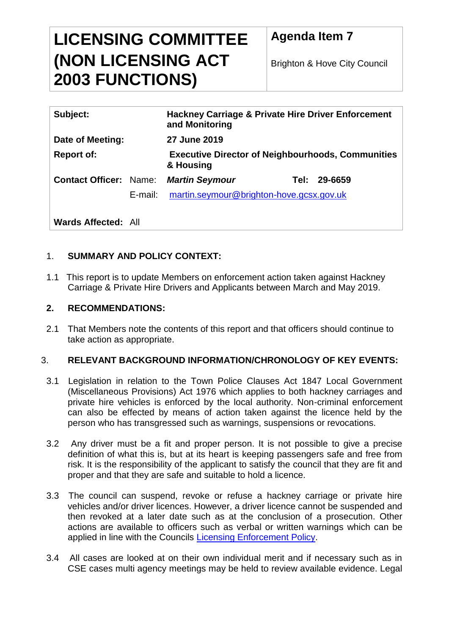# **LICENSING COMMITTEE (NON LICENSING ACT 2003 FUNCTIONS)**

**Agenda Item 7**

Brighton & Hove City Council

| Subject:                      |         | <b>Hackney Carriage &amp; Private Hire Driver Enforcement</b><br>and Monitoring |                 |
|-------------------------------|---------|---------------------------------------------------------------------------------|-----------------|
| Date of Meeting:              |         | <b>27 June 2019</b>                                                             |                 |
| <b>Report of:</b>             |         | <b>Executive Director of Neighbourhoods, Communities</b><br>& Housing           |                 |
| <b>Contact Officer: Name:</b> |         | <b>Martin Seymour</b>                                                           | 29-6659<br>Tel: |
|                               | E-mail: | martin.seymour@brighton-hove.gcsx.gov.uk                                        |                 |

**Wards Affected:** All

## 1. **SUMMARY AND POLICY CONTEXT:**

1.1 This report is to update Members on enforcement action taken against Hackney Carriage & Private Hire Drivers and Applicants between March and May 2019.

#### **2. RECOMMENDATIONS:**

2.1 That Members note the contents of this report and that officers should continue to take action as appropriate.

## 3. **RELEVANT BACKGROUND INFORMATION/CHRONOLOGY OF KEY EVENTS:**

- 3.1 Legislation in relation to the Town Police Clauses Act 1847 Local Government (Miscellaneous Provisions) Act 1976 which applies to both hackney carriages and private hire vehicles is enforced by the local authority. Non-criminal enforcement can also be effected by means of action taken against the licence held by the person who has transgressed such as warnings, suspensions or revocations.
- 3.2 Any driver must be a fit and proper person. It is not possible to give a precise definition of what this is, but at its heart is keeping passengers safe and free from risk. It is the responsibility of the applicant to satisfy the council that they are fit and proper and that they are safe and suitable to hold a licence.
- 3.3 The council can suspend, revoke or refuse a hackney carriage or private hire vehicles and/or driver licences. However, a driver licence cannot be suspended and then revoked at a later date such as at the conclusion of a prosecution. Other actions are available to officers such as verbal or written warnings which can be applied in line with the Councils [Licensing Enforcement Policy.](http://present.brighton-hove.gov.uk/Published/C00000116/M00004595/AI00033782/$20130617124617_004350_0016798_AppxGLicensingEnforcementPolicy.pdfA.ps.pdf)
- 3.4 All cases are looked at on their own individual merit and if necessary such as in CSE cases multi agency meetings may be held to review available evidence. Legal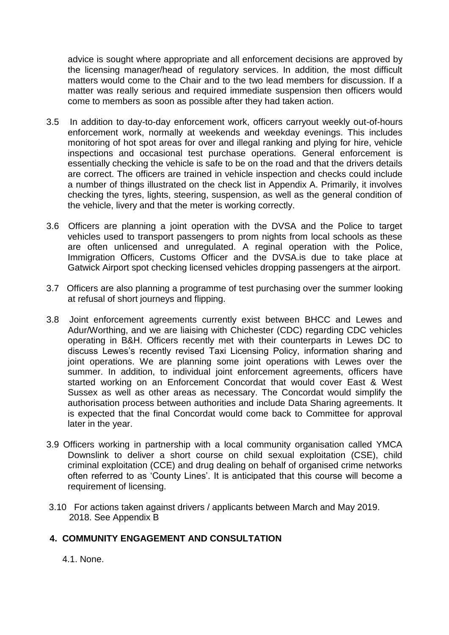advice is sought where appropriate and all enforcement decisions are approved by the licensing manager/head of regulatory services. In addition, the most difficult matters would come to the Chair and to the two lead members for discussion. If a matter was really serious and required immediate suspension then officers would come to members as soon as possible after they had taken action.

- 3.5 In addition to day-to-day enforcement work, officers carryout weekly out-of-hours enforcement work, normally at weekends and weekday evenings. This includes monitoring of hot spot areas for over and illegal ranking and plying for hire, vehicle inspections and occasional test purchase operations. General enforcement is essentially checking the vehicle is safe to be on the road and that the drivers details are correct. The officers are trained in vehicle inspection and checks could include a number of things illustrated on the check list in Appendix A. Primarily, it involves checking the tyres, lights, steering, suspension, as well as the general condition of the vehicle, livery and that the meter is working correctly.
- 3.6 Officers are planning a joint operation with the DVSA and the Police to target vehicles used to transport passengers to prom nights from local schools as these are often unlicensed and unregulated. A reginal operation with the Police, Immigration Officers, Customs Officer and the DVSA.is due to take place at Gatwick Airport spot checking licensed vehicles dropping passengers at the airport.
- 3.7 Officers are also planning a programme of test purchasing over the summer looking at refusal of short journeys and flipping.
- 3.8 Joint enforcement agreements currently exist between BHCC and Lewes and Adur/Worthing, and we are liaising with Chichester (CDC) regarding CDC vehicles operating in B&H. Officers recently met with their counterparts in Lewes DC to discuss Lewes's recently revised Taxi Licensing Policy, information sharing and joint operations. We are planning some joint operations with Lewes over the summer. In addition, to individual joint enforcement agreements, officers have started working on an Enforcement Concordat that would cover East & West Sussex as well as other areas as necessary. The Concordat would simplify the authorisation process between authorities and include Data Sharing agreements. It is expected that the final Concordat would come back to Committee for approval later in the year.
- 3.9 Officers working in partnership with a local community organisation called YMCA Downslink to deliver a short course on child sexual exploitation (CSE), child criminal exploitation (CCE) and drug dealing on behalf of organised crime networks often referred to as 'County Lines'. It is anticipated that this course will become a requirement of licensing.
- 3.10 For actions taken against drivers / applicants between March and May 2019. 2018. See Appendix B

## **4. COMMUNITY ENGAGEMENT AND CONSULTATION**

4.1. None.